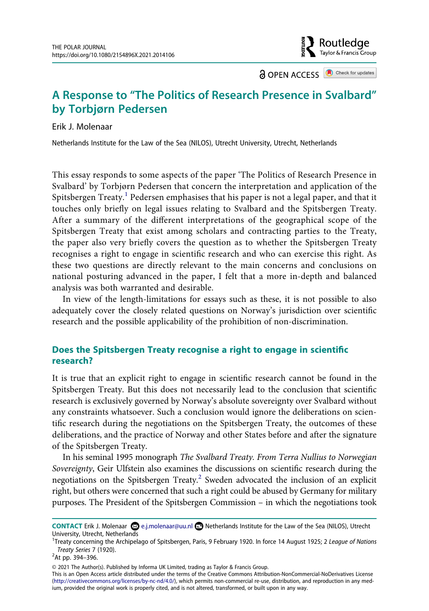**a** OPEN ACCESS **a** Check for updates

Routledae Taylor & Francis Group

# **A Response to "The Politics of Research Presence in Svalbard" by Torbjørn Pedersen**

#### Erik J. Molenaar

Netherlands Institute for the Law of the Sea (NILOS), Utrecht University, Utrecht, Netherlands

This essay responds to some aspects of the paper 'The Politics of Research Presence in Svalbard' by Torbjørn Pedersen that concern the interpretation and application of the Spitsbergen Treaty.<sup>[1](#page-0-0)</sup> Pedersen emphasises that his paper is not a legal paper, and that it touches only briefly on legal issues relating to Svalbard and the Spitsbergen Treaty. After a summary of the different interpretations of the geographical scope of the Spitsbergen Treaty that exist among scholars and contracting parties to the Treaty, the paper also very briefly covers the question as to whether the Spitsbergen Treaty recognises a right to engage in scientific research and who can exercise this right. As these two questions are directly relevant to the main concerns and conclusions on national posturing advanced in the paper, I felt that a more in-depth and balanced analysis was both warranted and desirable.

In view of the length-limitations for essays such as these, it is not possible to also adequately cover the closely related questions on Norway's jurisdiction over scientific research and the possible applicability of the prohibition of non-discrimination.

### **Does the Spitsbergen Treaty recognise a right to engage in scientific research?**

It is true that an explicit right to engage in scientific research cannot be found in the Spitsbergen Treaty. But this does not necessarily lead to the conclusion that scientific research is exclusively governed by Norway's absolute sovereignty over Svalbard without any constraints whatsoever. Such a conclusion would ignore the deliberations on scientific research during the negotiations on the Spitsbergen Treaty, the outcomes of these deliberations, and the practice of Norway and other States before and after the signature of the Spitsbergen Treaty.

In his seminal 1995 monograph *The Svalbard Treaty. From Terra Nullius to Norwegian Sovereignty*, Geir Ulfstein also examines the discussions on scientific research during the negotiations on the Spitsbergen Treaty.<sup>2</sup> Sweden advocated the inclusion of an explicit right, but others were concerned that such a right could be abused by Germany for military purposes. The President of the Spitsbergen Commission – in which the negotiations took

**CONTACT** Erik J. Molenaar  $\otimes$  e.j.molenaar@uu.nl  $\odot$  Netherlands Institute for the Law of the Sea (NILOS), Utrecht University, Utrecht, Netherlands <sup>1</sup>

<span id="page-0-0"></span><sup>&</sup>lt;sup>1</sup> Treaty concerning the Archipelago of Spitsbergen, Paris, 9 February 1920. In force 14 August 1925; 2 League of Nations *Treaty Series* 7 (1920). <sup>2</sup>

<span id="page-0-1"></span><sup>&</sup>lt;sup>2</sup>At pp. 394-396.

<sup>© 2021</sup> The Author(s). Published by Informa UK Limited, trading as Taylor & Francis Group.

This is an Open Access article distributed under the terms of the Creative Commons Attribution-NonCommercial-NoDerivatives License (http://creativecommons.org/licenses/by-nc-nd/4.0/), which permits non-commercial re-use, distribution, and reproduction in any medium, provided the original work is properly cited, and is not altered, transformed, or built upon in any way.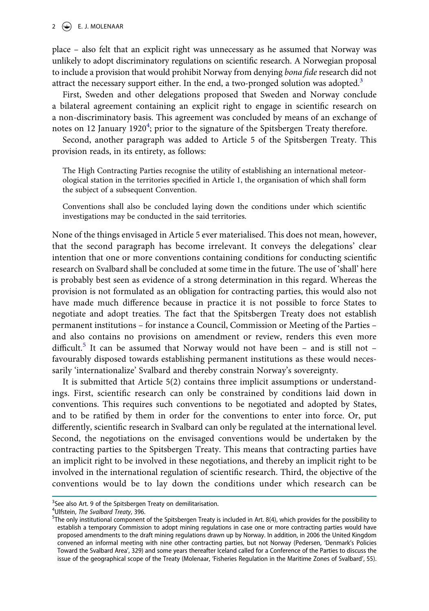place – also felt that an explicit right was unnecessary as he assumed that Norway was unlikely to adopt discriminatory regulations on scientific research. A Norwegian proposal to include a provision that would prohibit Norway from denying *bona fide* research did not attract the necessary support either. In the end, a two-pronged solution was adopted.<sup>[3](#page-1-0)</sup>

First, Sweden and other delegations proposed that Sweden and Norway conclude a bilateral agreement containing an explicit right to engage in scientific research on a non-discriminatory basis. This agreement was concluded by means of an exchange of notes on 12 January 1920<sup>[4](#page-1-1)</sup>; prior to the signature of the Spitsbergen Treaty therefore.

Second, another paragraph was added to Article 5 of the Spitsbergen Treaty. This provision reads, in its entirety, as follows:

The High Contracting Parties recognise the utility of establishing an international meteorological station in the territories specified in Article 1, the organisation of which shall form the subject of a subsequent Convention.

Conventions shall also be concluded laying down the conditions under which scientific investigations may be conducted in the said territories.

None of the things envisaged in Article 5 ever materialised. This does not mean, however, that the second paragraph has become irrelevant. It conveys the delegations' clear intention that one or more conventions containing conditions for conducting scientific research on Svalbard shall be concluded at some time in the future. The use of 'shall' here is probably best seen as evidence of a strong determination in this regard. Whereas the provision is not formulated as an obligation for contracting parties, this would also not have made much difference because in practice it is not possible to force States to negotiate and adopt treaties. The fact that the Spitsbergen Treaty does not establish permanent institutions – for instance a Council, Commission or Meeting of the Parties – and also contains no provisions on amendment or review, renders this even more difficult.<sup>5</sup> It can be assumed that Norway would not have been - and is still not favourably disposed towards establishing permanent institutions as these would necessarily 'internationalize' Svalbard and thereby constrain Norway's sovereignty.

It is submitted that Article 5(2) contains three implicit assumptions or understandings. First, scientific research can only be constrained by conditions laid down in conventions. This requires such conventions to be negotiated and adopted by States, and to be ratified by them in order for the conventions to enter into force. Or, put differently, scientific research in Svalbard can only be regulated at the international level. Second, the negotiations on the envisaged conventions would be undertaken by the contracting parties to the Spitsbergen Treaty. This means that contracting parties have an implicit right to be involved in these negotiations, and thereby an implicit right to be involved in the international regulation of scientific research. Third, the objective of the conventions would be to lay down the conditions under which research can be

<span id="page-1-0"></span><sup>&</sup>lt;sup>3</sup>See also Art. 9 of the Spitsbergen Treaty on demilitarisation.<br><sup>4</sup>Ulfstein, *The Syalbard Treaty*, 396

<span id="page-1-1"></span>Ulfstein, *The Svalbard Treaty*, 396. <sup>5</sup>

<span id="page-1-2"></span> $5$ The only institutional component of the Spitsbergen Treaty is included in Art. 8(4), which provides for the possibility to establish a temporary Commission to adopt mining regulations in case one or more contracting parties would have proposed amendments to the draft mining regulations drawn up by Norway. In addition, in 2006 the United Kingdom convened an informal meeting with nine other contracting parties, but not Norway (Pedersen, 'Denmark's Policies Toward the Svalbard Area', 329) and some years thereafter Iceland called for a Conference of the Parties to discuss the issue of the geographical scope of the Treaty (Molenaar, 'Fisheries Regulation in the Maritime Zones of Svalbard', 55).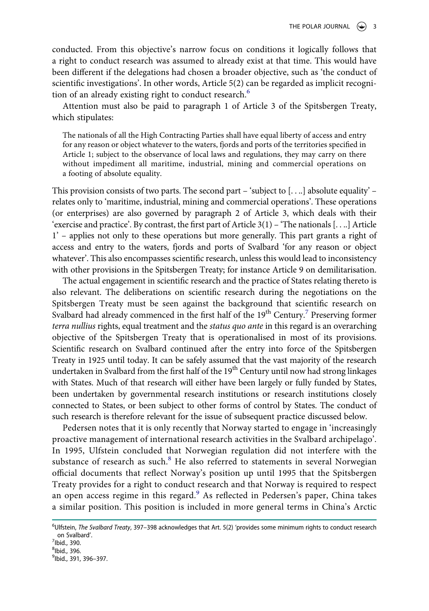conducted. From this objective's narrow focus on conditions it logically follows that a right to conduct research was assumed to already exist at that time. This would have been different if the delegations had chosen a broader objective, such as 'the conduct of scientific investigations'. In other words, Article 5(2) can be regarded as implicit recogni-tion of an already existing right to conduct research.<sup>[6](#page-2-0)</sup>

Attention must also be paid to paragraph 1 of Article 3 of the Spitsbergen Treaty, which stipulates:

The nationals of all the High Contracting Parties shall have equal liberty of access and entry for any reason or object whatever to the waters, fjords and ports of the territories specified in Article 1; subject to the observance of local laws and regulations, they may carry on there without impediment all maritime, industrial, mining and commercial operations on a footing of absolute equality.

This provision consists of two parts. The second part – 'subject to [. . ..] absolute equality' – relates only to 'maritime, industrial, mining and commercial operations'. These operations (or enterprises) are also governed by paragraph 2 of Article 3, which deals with their 'exercise and practice'. By contrast, the first part of Article 3(1) – 'The nationals [. . ..] Article 1' – applies not only to these operations but more generally. This part grants a right of access and entry to the waters, fjords and ports of Svalbard 'for any reason or object whatever'. This also encompasses scientific research, unless this would lead to inconsistency with other provisions in the Spitsbergen Treaty; for instance Article 9 on demilitarisation.

The actual engagement in scientific research and the practice of States relating thereto is also relevant. The deliberations on scientific research during the negotiations on the Spitsbergen Treaty must be seen against the background that scientific research on Svalbard had already commenced in the first half of the 19<sup>th</sup> Century.<sup>7</sup> Preserving former *terra nullius* rights, equal treatment and the *status quo ante* in this regard is an overarching objective of the Spitsbergen Treaty that is operationalised in most of its provisions. Scientific research on Svalbard continued after the entry into force of the Spitsbergen Treaty in 1925 until today. It can be safely assumed that the vast majority of the research undertaken in Svalbard from the first half of the 19<sup>th</sup> Century until now had strong linkages with States. Much of that research will either have been largely or fully funded by States, been undertaken by governmental research institutions or research institutions closely connected to States, or been subject to other forms of control by States. The conduct of such research is therefore relevant for the issue of subsequent practice discussed below.

Pedersen notes that it is only recently that Norway started to engage in 'increasingly proactive management of international research activities in the Svalbard archipelago'. In 1995, Ulfstein concluded that Norwegian regulation did not interfere with the substance of research as such. $8$  He also referred to statements in several Norwegian official documents that reflect Norway's position up until 1995 that the Spitsbergen Treaty provides for a right to conduct research and that Norway is required to respect an open access regime in this regard.<sup>[9](#page-2-3)</sup> As reflected in Pedersen's paper, China takes a similar position. This position is included in more general terms in China's Arctic

<span id="page-2-0"></span><sup>6</sup> Ulfstein, *The Svalbard Treaty*, 397–398 acknowledges that Art. 5(2) 'provides some minimum rights to conduct research on Svalbard'.  $^7$ Ibid., 390.

<span id="page-2-2"></span><span id="page-2-1"></span> $8$ Ibid., 396.

<span id="page-2-3"></span><sup>&</sup>lt;sup>9</sup>lbid., 391, 396-397.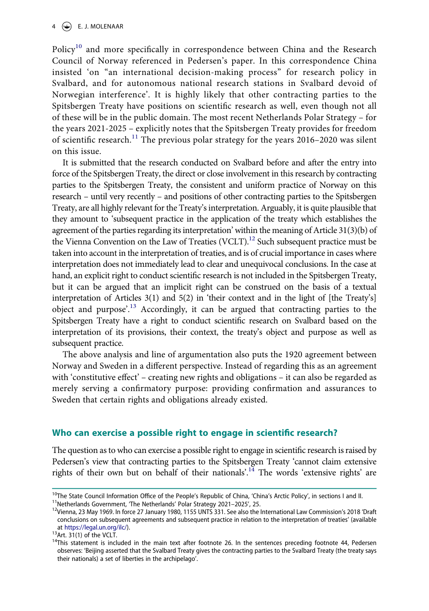Policy<sup>[10](#page-3-0)</sup> and more specifically in correspondence between China and the Research Council of Norway referenced in Pedersen's paper. In this correspondence China insisted 'on "an international decision-making process" for research policy in Svalbard, and for autonomous national research stations in Svalbard devoid of Norwegian interference'. It is highly likely that other contracting parties to the Spitsbergen Treaty have positions on scientific research as well, even though not all of these will be in the public domain. The most recent Netherlands Polar Strategy – for the years 2021-2025 – explicitly notes that the Spitsbergen Treaty provides for freedom of scientific research.<sup>[11](#page-3-1)</sup> The previous polar strategy for the years  $2016-2020$  was silent on this issue.

It is submitted that the research conducted on Svalbard before and after the entry into force of the Spitsbergen Treaty, the direct or close involvement in this research by contracting parties to the Spitsbergen Treaty, the consistent and uniform practice of Norway on this research – until very recently – and positions of other contracting parties to the Spitsbergen Treaty, are all highly relevant for the Treaty's interpretation. Arguably, it is quite plausible that they amount to 'subsequent practice in the application of the treaty which establishes the agreement of the parties regarding its interpretation' within the meaning of Article 31(3)(b) of the Vienna Convention on the Law of Treaties (VCLT).<sup>12</sup> Such subsequent practice must be taken into account in the interpretation of treaties, and is of crucial importance in cases where interpretation does not immediately lead to clear and unequivocal conclusions. In the case at hand, an explicit right to conduct scientific research is not included in the Spitsbergen Treaty, but it can be argued that an implicit right can be construed on the basis of a textual interpretation of Articles 3(1) and 5(2) in 'their context and in the light of [the Treaty's] object and purpose'[.13](#page-3-3) Accordingly, it can be argued that contracting parties to the Spitsbergen Treaty have a right to conduct scientific research on Svalbard based on the interpretation of its provisions, their context, the treaty's object and purpose as well as subsequent practice.

The above analysis and line of argumentation also puts the 1920 agreement between Norway and Sweden in a different perspective. Instead of regarding this as an agreement with 'constitutive effect' – creating new rights and obligations – it can also be regarded as merely serving a confirmatory purpose: providing confirmation and assurances to Sweden that certain rights and obligations already existed.

## **Who can exercise a possible right to engage in scientific research?**

The question as to who can exercise a possible right to engage in scientific research is raised by Pedersen's view that contracting parties to the Spitsbergen Treaty 'cannot claim extensive rights of their own but on behalf of their nationals'.<sup>14</sup> The words 'extensive rights' are

<span id="page-3-1"></span><span id="page-3-0"></span><sup>&</sup>lt;sup>10</sup>The State Council Information Office of the People's Republic of China, 'China's Arctic Policy', in sections I and II.<br><sup>11</sup>Netherlands Government, 'The Netherlands' Polar Strategy 2021–2025', 25.<br><sup>12</sup>Vienna, 23 May 196

<span id="page-3-2"></span>conclusions on subsequent agreements and subsequent practice in relation to the interpretation of treaties' (available at [https://legal.un.org/ilc/\)](https://legal.un.org/ilc/).<br><sup>13</sup>Art. 31(1) of the VCLT.<br><sup>14</sup>This statement is included in the main text after footnote 26. In the sentences preceding footnote 44, Pedersen

<span id="page-3-3"></span>

<span id="page-3-4"></span>observes: 'Beijing asserted that the Svalbard Treaty gives the contracting parties to the Svalbard Treaty (the treaty says their nationals) a set of liberties in the archipelago'.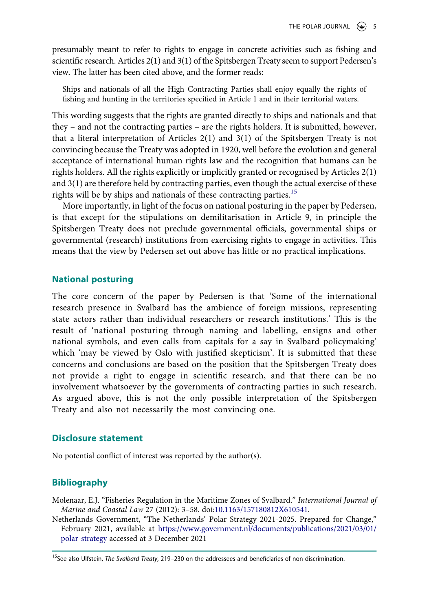presumably meant to refer to rights to engage in concrete activities such as fishing and scientific research. Articles 2(1) and 3(1) of the Spitsbergen Treaty seem to support Pedersen's view. The latter has been cited above, and the former reads:

Ships and nationals of all the High Contracting Parties shall enjoy equally the rights of fishing and hunting in the territories specified in Article 1 and in their territorial waters.

This wording suggests that the rights are granted directly to ships and nationals and that they – and not the contracting parties – are the rights holders. It is submitted, however, that a literal interpretation of Articles 2(1) and 3(1) of the Spitsbergen Treaty is not convincing because the Treaty was adopted in 1920, well before the evolution and general acceptance of international human rights law and the recognition that humans can be rights holders. All the rights explicitly or implicitly granted or recognised by Articles 2(1) and 3(1) are therefore held by contracting parties, even though the actual exercise of these rights will be by ships and nationals of these contracting parties.<sup>15</sup>

More importantly, in light of the focus on national posturing in the paper by Pedersen, is that except for the stipulations on demilitarisation in Article 9, in principle the Spitsbergen Treaty does not preclude governmental officials, governmental ships or governmental (research) institutions from exercising rights to engage in activities. This means that the view by Pedersen set out above has little or no practical implications.

#### **National posturing**

The core concern of the paper by Pedersen is that 'Some of the international research presence in Svalbard has the ambience of foreign missions, representing state actors rather than individual researchers or research institutions.' This is the result of 'national posturing through naming and labelling, ensigns and other national symbols, and even calls from capitals for a say in Svalbard policymaking' which 'may be viewed by Oslo with justified skepticism'. It is submitted that these concerns and conclusions are based on the position that the Spitsbergen Treaty does not provide a right to engage in scientific research, and that there can be no involvement whatsoever by the governments of contracting parties in such research. As argued above, this is not the only possible interpretation of the Spitsbergen Treaty and also not necessarily the most convincing one.

#### **Disclosure statement**

No potential conflict of interest was reported by the author(s).

#### **Bibliography**

Molenaar, E.J. "Fisheries Regulation in the Maritime Zones of Svalbard." *International Journal of Marine and Coastal Law* 27 (2012): 3–58. doi:[10.1163/157180812X610541](https://doi.org/10.1163/157180812X610541).

Netherlands Government, "The Netherlands' Polar Strategy 2021-2025. Prepared for Change," February 2021, available at [https://www.government.nl/documents/publications/2021/03/01/](https://www.government.nl/documents/publications/2021/03/01/polar-strategy) [polar-strategy](https://www.government.nl/documents/publications/2021/03/01/polar-strategy) accessed at 3 December 2021

<span id="page-4-0"></span><sup>15</sup>See also Ulfstein, *The Svalbard Treaty*, 219–230 on the addressees and beneficiaries of non-discrimination.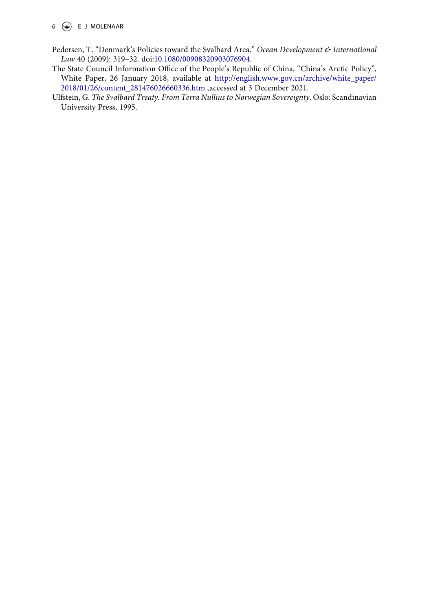$6 \quad (*)$  E. J. MOLENAAR

- Pedersen, T. "Denmark's Policies toward the Svalbard Area." *Ocean Development & International Law* 40 (2009): 319–32. doi:[10.1080/00908320903076904](https://doi.org/10.1080/00908320903076904).
- The State Council Information Office of the People's Republic of China, "China's Arctic Policy", White Paper, 26 January 2018, available at [http://english.www.gov.cn/archive/white\\_paper/](http://english.www.gov.cn/archive/white_paper/2018/01/26/content_281476026660336.htm) [2018/01/26/content\\_281476026660336.htm](http://english.www.gov.cn/archive/white_paper/2018/01/26/content_281476026660336.htm) , accessed at 3 December 2021.
- Ulfstein, G. *The Svalbard Treaty. From Terra Nullius to Norwegian Sovereignty*. Oslo: Scandinavian University Press, 1995.